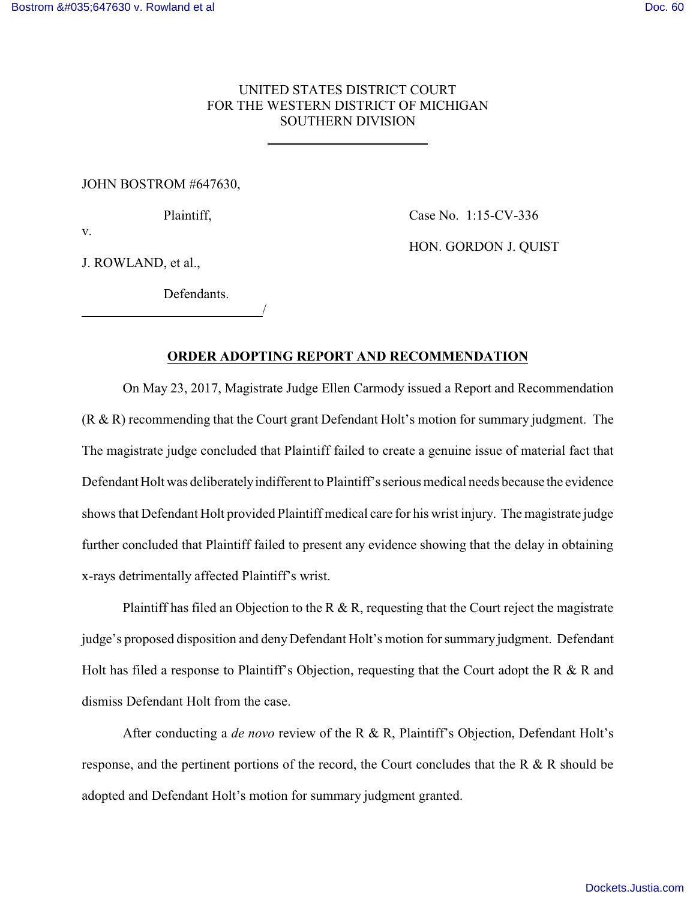## UNITED STATES DISTRICT COURT FOR THE WESTERN DISTRICT OF MICHIGAN SOUTHERN DIVISION

## JOHN BOSTROM #647630,

Defendants.

/

Plaintiff, Case No. 1:15-CV-336

HON. GORDON J. QUIST

v.

J. ROWLAND, et al.,

 $\overline{a}$ 

## **ORDER ADOPTING REPORT AND RECOMMENDATION**

On May 23, 2017, Magistrate Judge Ellen Carmody issued a Report and Recommendation (R & R) recommending that the Court grant Defendant Holt's motion for summary judgment. The The magistrate judge concluded that Plaintiff failed to create a genuine issue of material fact that Defendant Holt was deliberately indifferent to Plaintiff's serious medical needs because the evidence shows that Defendant Holt provided Plaintiff medical care for his wrist injury. The magistrate judge further concluded that Plaintiff failed to present any evidence showing that the delay in obtaining x-rays detrimentally affected Plaintiff's wrist.

Plaintiff has filed an Objection to the R  $\&$  R, requesting that the Court reject the magistrate judge's proposed disposition and deny Defendant Holt's motion for summary judgment. Defendant Holt has filed a response to Plaintiff's Objection, requesting that the Court adopt the R & R and dismiss Defendant Holt from the case.

After conducting a *de novo* review of the R & R, Plaintiff's Objection, Defendant Holt's response, and the pertinent portions of the record, the Court concludes that the R & R should be adopted and Defendant Holt's motion for summary judgment granted.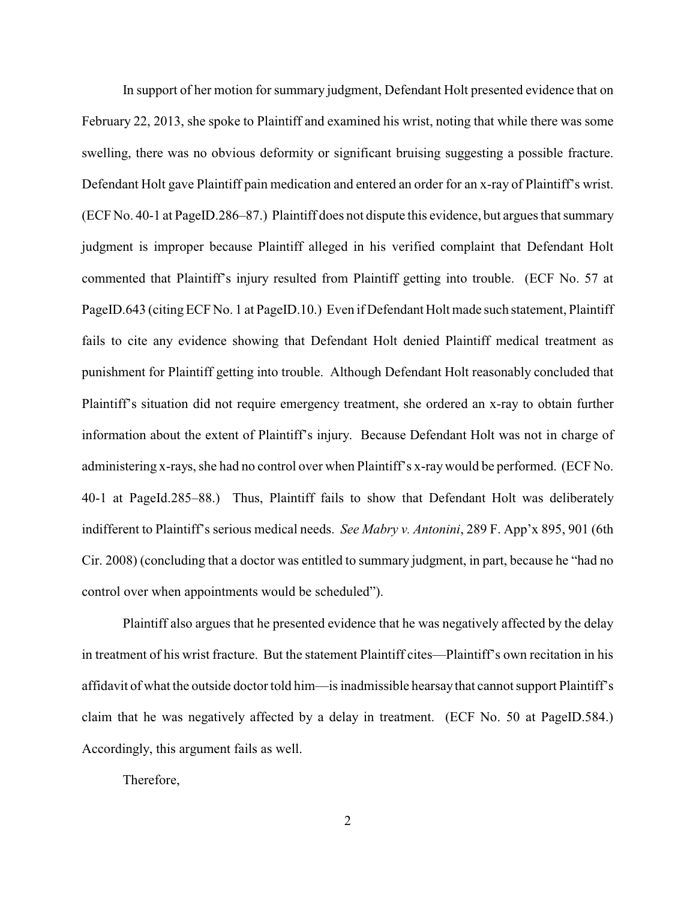In support of her motion for summary judgment, Defendant Holt presented evidence that on February 22, 2013, she spoke to Plaintiff and examined his wrist, noting that while there was some swelling, there was no obvious deformity or significant bruising suggesting a possible fracture. Defendant Holt gave Plaintiff pain medication and entered an order for an x-ray of Plaintiff's wrist. (ECF No. 40-1 at PageID.286–87.) Plaintiff does not dispute this evidence, but argues that summary judgment is improper because Plaintiff alleged in his verified complaint that Defendant Holt commented that Plaintiff's injury resulted from Plaintiff getting into trouble. (ECF No. 57 at PageID.643 (citing ECF No. 1 at PageID.10.) Even if Defendant Holt made such statement, Plaintiff fails to cite any evidence showing that Defendant Holt denied Plaintiff medical treatment as punishment for Plaintiff getting into trouble. Although Defendant Holt reasonably concluded that Plaintiff's situation did not require emergency treatment, she ordered an x-ray to obtain further information about the extent of Plaintiff's injury. Because Defendant Holt was not in charge of administering x-rays, she had no control over when Plaintiff's x-raywould be performed. (ECF No. 40-1 at PageId.285–88.) Thus, Plaintiff fails to show that Defendant Holt was deliberately indifferent to Plaintiff's serious medical needs. *See Mabry v. Antonini*, 289 F. App'x 895, 901 (6th Cir. 2008) (concluding that a doctor was entitled to summary judgment, in part, because he "had no control over when appointments would be scheduled").

Plaintiff also argues that he presented evidence that he was negatively affected by the delay in treatment of his wrist fracture. But the statement Plaintiff cites—Plaintiff's own recitation in his affidavit of what the outside doctor told him—is inadmissible hearsaythat cannot support Plaintiff's claim that he was negatively affected by a delay in treatment. (ECF No. 50 at PageID.584.) Accordingly, this argument fails as well.

Therefore,